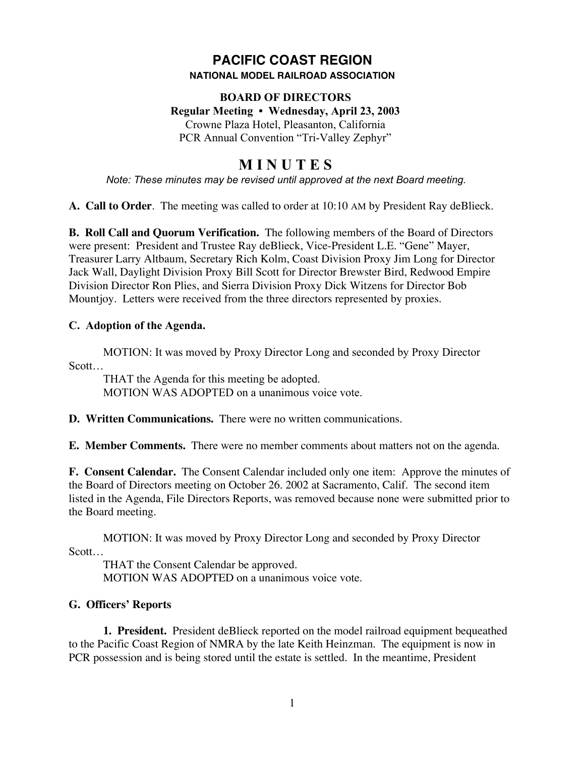# **PACIFIC COAST REGION NATIONAL MODEL RAILROAD ASSOCIATION**

# **BOARD OF DIRECTORS Regular Meeting • Wednesday, April 23, 2003** Crowne Plaza Hotel, Pleasanton, California PCR Annual Convention "Tri-Valley Zephyr"

# **M I N U T E S**

*Note: These minutes may be revised until approved at the next Board meeting.*

**A. Call to Order**. The meeting was called to order at 10:10 AM by President Ray deBlieck.

**B. Roll Call and Quorum Verification.** The following members of the Board of Directors were present: President and Trustee Ray deBlieck, Vice-President L.E. "Gene" Mayer, Treasurer Larry Altbaum, Secretary Rich Kolm, Coast Division Proxy Jim Long for Director Jack Wall, Daylight Division Proxy Bill Scott for Director Brewster Bird, Redwood Empire Division Director Ron Plies, and Sierra Division Proxy Dick Witzens for Director Bob Mountjoy. Letters were received from the three directors represented by proxies.

# **C. Adoption of the Agenda.**

MOTION: It was moved by Proxy Director Long and seconded by Proxy Director Scott…

THAT the Agenda for this meeting be adopted. MOTION WAS ADOPTED on a unanimous voice vote.

**D. Written Communications.** There were no written communications.

**E. Member Comments.** There were no member comments about matters not on the agenda.

**F. Consent Calendar.** The Consent Calendar included only one item: Approve the minutes of the Board of Directors meeting on October 26. 2002 at Sacramento, Calif. The second item listed in the Agenda, File Directors Reports, was removed because none were submitted prior to the Board meeting.

MOTION: It was moved by Proxy Director Long and seconded by Proxy Director Scott…

THAT the Consent Calendar be approved. MOTION WAS ADOPTED on a unanimous voice vote.

# **G. Officers' Reports**

**1. President.** President deBlieck reported on the model railroad equipment bequeathed to the Pacific Coast Region of NMRA by the late Keith Heinzman. The equipment is now in PCR possession and is being stored until the estate is settled. In the meantime, President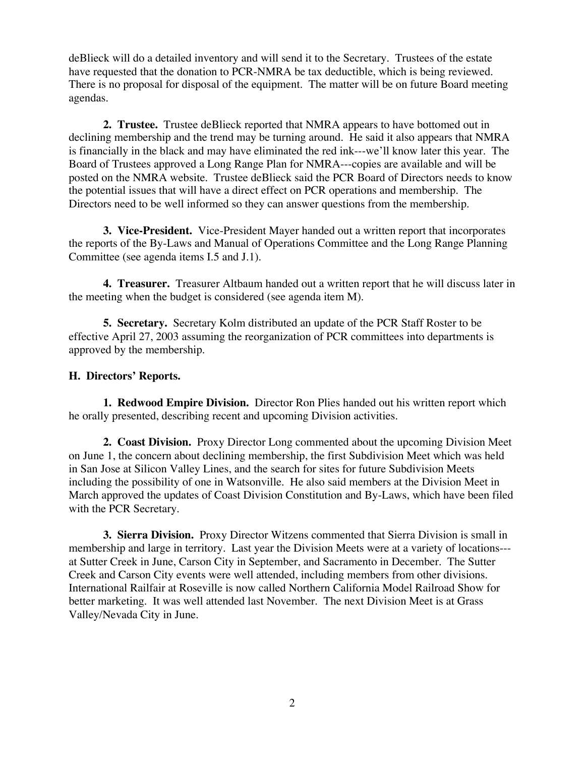deBlieck will do a detailed inventory and will send it to the Secretary. Trustees of the estate have requested that the donation to PCR-NMRA be tax deductible, which is being reviewed. There is no proposal for disposal of the equipment. The matter will be on future Board meeting agendas.

**2. Trustee.** Trustee deBlieck reported that NMRA appears to have bottomed out in declining membership and the trend may be turning around. He said it also appears that NMRA is financially in the black and may have eliminated the red ink---we'll know later this year. The Board of Trustees approved a Long Range Plan for NMRA---copies are available and will be posted on the NMRA website. Trustee deBlieck said the PCR Board of Directors needs to know the potential issues that will have a direct effect on PCR operations and membership. The Directors need to be well informed so they can answer questions from the membership.

**3. Vice-President.** Vice-President Mayer handed out a written report that incorporates the reports of the By-Laws and Manual of Operations Committee and the Long Range Planning Committee (see agenda items I.5 and J.1).

**4. Treasurer.** Treasurer Altbaum handed out a written report that he will discuss later in the meeting when the budget is considered (see agenda item M).

**5. Secretary.** Secretary Kolm distributed an update of the PCR Staff Roster to be effective April 27, 2003 assuming the reorganization of PCR committees into departments is approved by the membership.

#### **H. Directors' Reports.**

**1. Redwood Empire Division.** Director Ron Plies handed out his written report which he orally presented, describing recent and upcoming Division activities.

**2. Coast Division.** Proxy Director Long commented about the upcoming Division Meet on June 1, the concern about declining membership, the first Subdivision Meet which was held in San Jose at Silicon Valley Lines, and the search for sites for future Subdivision Meets including the possibility of one in Watsonville. He also said members at the Division Meet in March approved the updates of Coast Division Constitution and By-Laws, which have been filed with the PCR Secretary.

**3. Sierra Division.** Proxy Director Witzens commented that Sierra Division is small in membership and large in territory. Last year the Division Meets were at a variety of locations-- at Sutter Creek in June, Carson City in September, and Sacramento in December. The Sutter Creek and Carson City events were well attended, including members from other divisions. International Railfair at Roseville is now called Northern California Model Railroad Show for better marketing. It was well attended last November. The next Division Meet is at Grass Valley/Nevada City in June.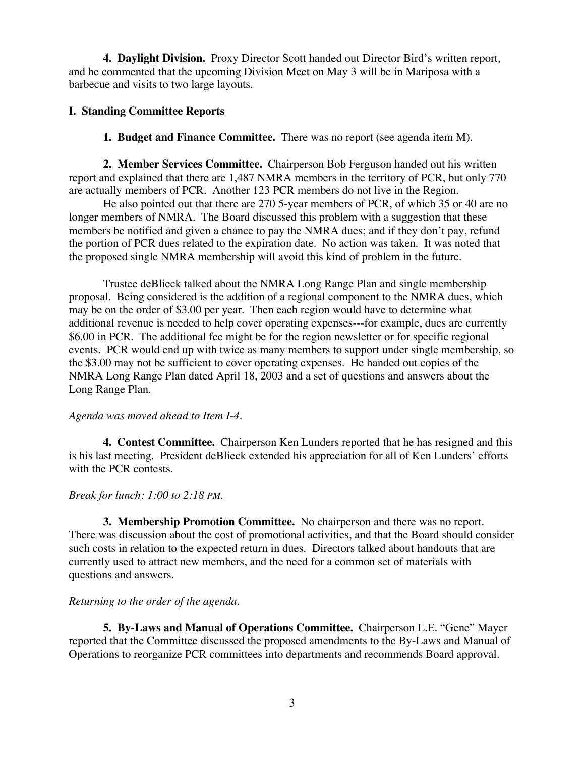**4. Daylight Division.** Proxy Director Scott handed out Director Bird's written report, and he commented that the upcoming Division Meet on May 3 will be in Mariposa with a barbecue and visits to two large layouts.

#### **I. Standing Committee Reports**

**1. Budget and Finance Committee.** There was no report (see agenda item M).

**2. Member Services Committee.** Chairperson Bob Ferguson handed out his written report and explained that there are 1,487 NMRA members in the territory of PCR, but only 770 are actually members of PCR. Another 123 PCR members do not live in the Region.

He also pointed out that there are 270 5-year members of PCR, of which 35 or 40 are no longer members of NMRA. The Board discussed this problem with a suggestion that these members be notified and given a chance to pay the NMRA dues; and if they don't pay, refund the portion of PCR dues related to the expiration date. No action was taken. It was noted that the proposed single NMRA membership will avoid this kind of problem in the future.

Trustee deBlieck talked about the NMRA Long Range Plan and single membership proposal. Being considered is the addition of a regional component to the NMRA dues, which may be on the order of \$3.00 per year. Then each region would have to determine what additional revenue is needed to help cover operating expenses---for example, dues are currently \$6.00 in PCR. The additional fee might be for the region newsletter or for specific regional events. PCR would end up with twice as many members to support under single membership, so the \$3.00 may not be sufficient to cover operating expenses. He handed out copies of the NMRA Long Range Plan dated April 18, 2003 and a set of questions and answers about the Long Range Plan.

#### *Agenda was moved ahead to Item I-4.*

**4. Contest Committee.** Chairperson Ken Lunders reported that he has resigned and this is his last meeting. President deBlieck extended his appreciation for all of Ken Lunders' efforts with the PCR contests.

#### *Break for lunch: 1:00 to 2:18 PM.*

**3. Membership Promotion Committee.** No chairperson and there was no report. There was discussion about the cost of promotional activities, and that the Board should consider such costs in relation to the expected return in dues. Directors talked about handouts that are currently used to attract new members, and the need for a common set of materials with questions and answers.

# *Returning to the order of the agenda.*

**5. By-Laws and Manual of Operations Committee.** Chairperson L.E. "Gene" Mayer reported that the Committee discussed the proposed amendments to the By-Laws and Manual of Operations to reorganize PCR committees into departments and recommends Board approval.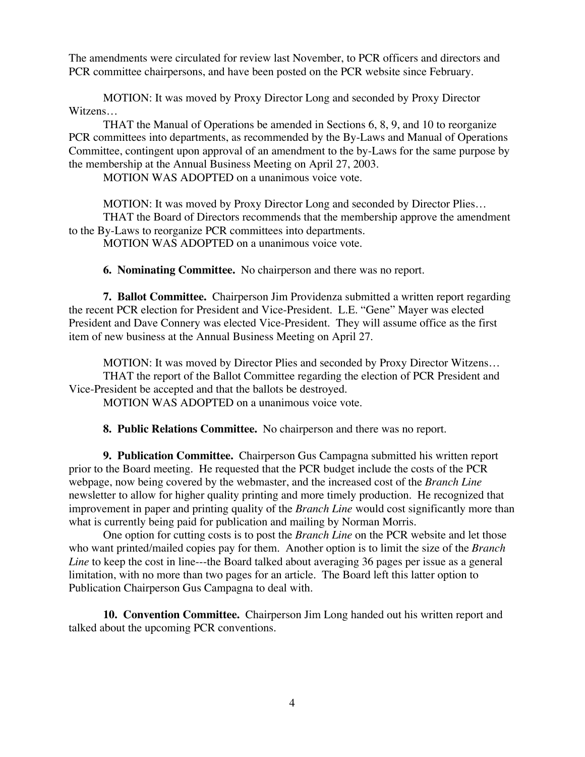The amendments were circulated for review last November, to PCR officers and directors and PCR committee chairpersons, and have been posted on the PCR website since February.

MOTION: It was moved by Proxy Director Long and seconded by Proxy Director Witzens…

THAT the Manual of Operations be amended in Sections 6, 8, 9, and 10 to reorganize PCR committees into departments, as recommended by the By-Laws and Manual of Operations Committee, contingent upon approval of an amendment to the by-Laws for the same purpose by the membership at the Annual Business Meeting on April 27, 2003.

MOTION WAS ADOPTED on a unanimous voice vote.

MOTION: It was moved by Proxy Director Long and seconded by Director Plies… THAT the Board of Directors recommends that the membership approve the amendment to the By-Laws to reorganize PCR committees into departments. MOTION WAS ADOPTED on a unanimous voice vote.

**6. Nominating Committee.** No chairperson and there was no report.

**7. Ballot Committee.** Chairperson Jim Providenza submitted a written report regarding the recent PCR election for President and Vice-President. L.E. "Gene" Mayer was elected President and Dave Connery was elected Vice-President. They will assume office as the first item of new business at the Annual Business Meeting on April 27.

MOTION: It was moved by Director Plies and seconded by Proxy Director Witzens… THAT the report of the Ballot Committee regarding the election of PCR President and Vice-President be accepted and that the ballots be destroyed.

MOTION WAS ADOPTED on a unanimous voice vote.

**8. Public Relations Committee.** No chairperson and there was no report.

**9. Publication Committee.** Chairperson Gus Campagna submitted his written report prior to the Board meeting. He requested that the PCR budget include the costs of the PCR webpage, now being covered by the webmaster, and the increased cost of the *Branch Line* newsletter to allow for higher quality printing and more timely production. He recognized that improvement in paper and printing quality of the *Branch Line* would cost significantly more than what is currently being paid for publication and mailing by Norman Morris.

One option for cutting costs is to post the *Branch Line* on the PCR website and let those who want printed/mailed copies pay for them. Another option is to limit the size of the *Branch Line* to keep the cost in line---the Board talked about averaging 36 pages per issue as a general limitation, with no more than two pages for an article. The Board left this latter option to Publication Chairperson Gus Campagna to deal with.

**10. Convention Committee.** Chairperson Jim Long handed out his written report and talked about the upcoming PCR conventions.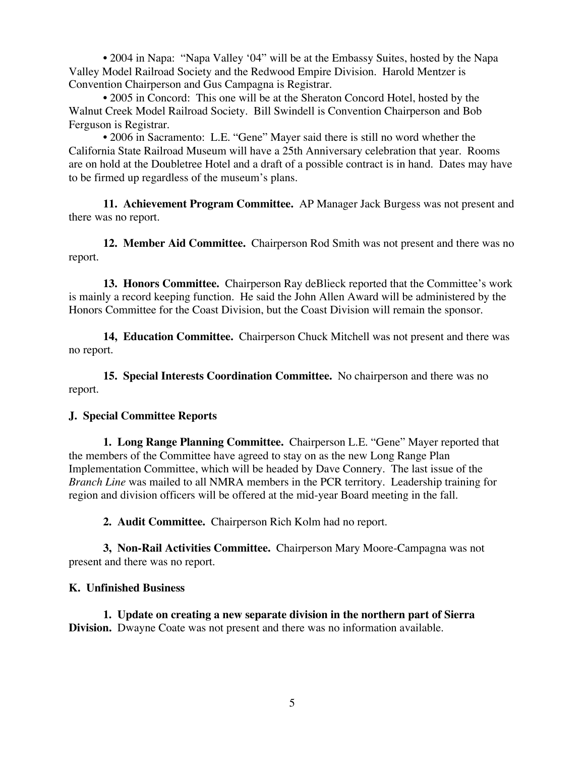• 2004 in Napa: "Napa Valley '04" will be at the Embassy Suites, hosted by the Napa Valley Model Railroad Society and the Redwood Empire Division. Harold Mentzer is Convention Chairperson and Gus Campagna is Registrar.

• 2005 in Concord: This one will be at the Sheraton Concord Hotel, hosted by the Walnut Creek Model Railroad Society. Bill Swindell is Convention Chairperson and Bob Ferguson is Registrar.

• 2006 in Sacramento: L.E. "Gene" Mayer said there is still no word whether the California State Railroad Museum will have a 25th Anniversary celebration that year. Rooms are on hold at the Doubletree Hotel and a draft of a possible contract is in hand. Dates may have to be firmed up regardless of the museum's plans.

**11. Achievement Program Committee.** AP Manager Jack Burgess was not present and there was no report.

**12. Member Aid Committee.** Chairperson Rod Smith was not present and there was no report.

**13. Honors Committee.** Chairperson Ray deBlieck reported that the Committee's work is mainly a record keeping function. He said the John Allen Award will be administered by the Honors Committee for the Coast Division, but the Coast Division will remain the sponsor.

**14, Education Committee.** Chairperson Chuck Mitchell was not present and there was no report.

**15. Special Interests Coordination Committee.** No chairperson and there was no report.

#### **J. Special Committee Reports**

**1. Long Range Planning Committee.** Chairperson L.E. "Gene" Mayer reported that the members of the Committee have agreed to stay on as the new Long Range Plan Implementation Committee, which will be headed by Dave Connery. The last issue of the *Branch Line* was mailed to all NMRA members in the PCR territory. Leadership training for region and division officers will be offered at the mid-year Board meeting in the fall.

**2. Audit Committee.** Chairperson Rich Kolm had no report.

**3, Non-Rail Activities Committee.** Chairperson Mary Moore-Campagna was not present and there was no report.

#### **K. Unfinished Business**

**1. Update on creating a new separate division in the northern part of Sierra Division.** Dwayne Coate was not present and there was no information available.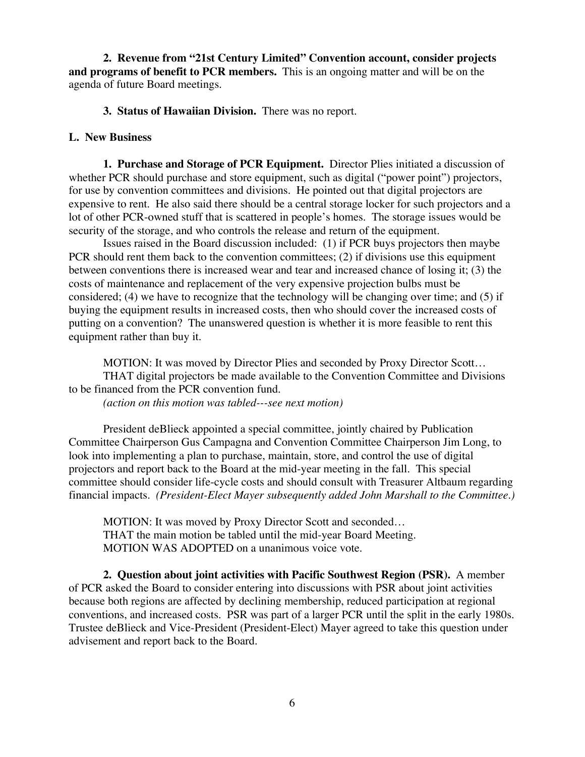**2. Revenue from "21st Century Limited" Convention account, consider projects and programs of benefit to PCR members.** This is an ongoing matter and will be on the agenda of future Board meetings.

**3. Status of Hawaiian Division.** There was no report.

#### **L. New Business**

**1. Purchase and Storage of PCR Equipment.** Director Plies initiated a discussion of whether PCR should purchase and store equipment, such as digital ("power point") projectors, for use by convention committees and divisions. He pointed out that digital projectors are expensive to rent. He also said there should be a central storage locker for such projectors and a lot of other PCR-owned stuff that is scattered in people's homes. The storage issues would be security of the storage, and who controls the release and return of the equipment.

Issues raised in the Board discussion included: (1) if PCR buys projectors then maybe PCR should rent them back to the convention committees; (2) if divisions use this equipment between conventions there is increased wear and tear and increased chance of losing it; (3) the costs of maintenance and replacement of the very expensive projection bulbs must be considered; (4) we have to recognize that the technology will be changing over time; and (5) if buying the equipment results in increased costs, then who should cover the increased costs of putting on a convention? The unanswered question is whether it is more feasible to rent this equipment rather than buy it.

MOTION: It was moved by Director Plies and seconded by Proxy Director Scott… THAT digital projectors be made available to the Convention Committee and Divisions to be financed from the PCR convention fund.

*(action on this motion was tabled---see next motion)*

President deBlieck appointed a special committee, jointly chaired by Publication Committee Chairperson Gus Campagna and Convention Committee Chairperson Jim Long, to look into implementing a plan to purchase, maintain, store, and control the use of digital projectors and report back to the Board at the mid-year meeting in the fall. This special committee should consider life-cycle costs and should consult with Treasurer Altbaum regarding financial impacts. *(President-Elect Mayer subsequently added John Marshall to the Committee.)*

MOTION: It was moved by Proxy Director Scott and seconded… THAT the main motion be tabled until the mid-year Board Meeting. MOTION WAS ADOPTED on a unanimous voice vote.

**2. Question about joint activities with Pacific Southwest Region (PSR).** A member of PCR asked the Board to consider entering into discussions with PSR about joint activities because both regions are affected by declining membership, reduced participation at regional conventions, and increased costs. PSR was part of a larger PCR until the split in the early 1980s. Trustee deBlieck and Vice-President (President-Elect) Mayer agreed to take this question under advisement and report back to the Board.